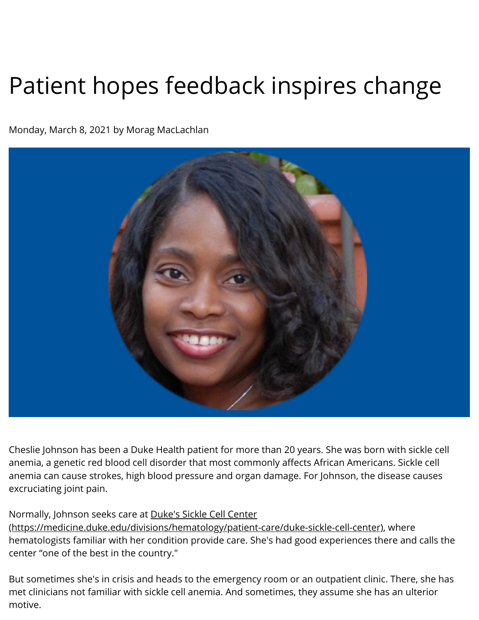## Patient hopes feedback inspires change

Monday, March 8, 2021 by Morag MacLachlan



 Cheslie Johnson has been a Duke Health patient for more than 20 years. She was born with sickle cell anemia, a genetic red blood cell disorder that most commonly affects African Americans. Sickle cell anemia can cause strokes, high blood pressure and organ damage. For Johnson, the disease causes excruciating joint pain.

Normally, Johnson seeks care at Duke's Sickle Cell Center

[\(https://medicine.duke.edu/divisions/hematology/patient-care/duke-sickle-cell-center\)](https://medicine.duke.edu/divisions/hematology/patient-care/duke-sickle-cell-center), where hematologists familiar with her condition provide care. She's had good experiences there and calls the center "one of the best in the country."

But sometimes she's in crisis and heads to the emergency room or an outpatient clinic. There, she has met clinicians not familiar with sickle cell anemia. And sometimes, they assume she has an ulterior motive.